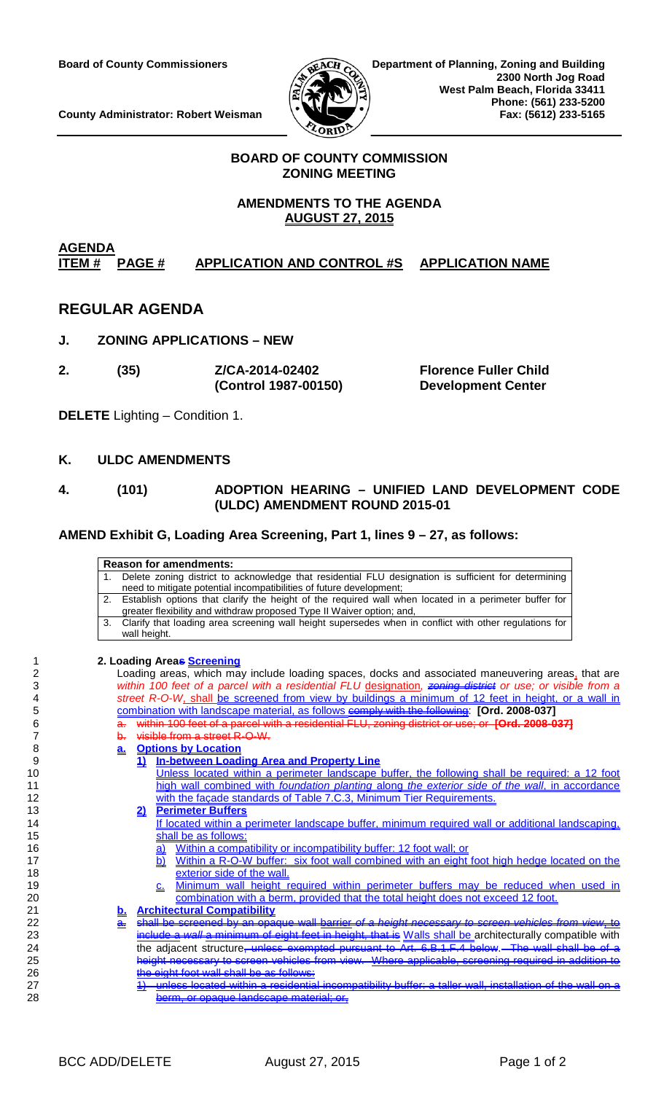

**County Administrator: Robert Weisman** 

### **BOARD OF COUNTY COMMISSION ZONING MEETING**

# **AMENDMENTS TO THE AGENDA AUGUST 27, 2015**

#### **AGENDA**<br>ITEM # PAGE # **IMPRESE APPLICATION AND CONTROL #S APPLICATION NAME**

# **REGULAR AGENDA**

- **J. ZONING APPLICATIONS – NEW**
- **2. (35) Z/CA-2014-02402 Florence Fuller Child (Control 1987-00150) Development Center**

**DELETE** Lighting – Condition 1.

### **K. ULDC AMENDMENTS**

### **4. (101) ADOPTION HEARING – UNIFIED LAND DEVELOPMENT CODE (ULDC) AMENDMENT ROUND 2015-01**

### **AMEND Exhibit G, Loading Area Screening, Part 1, lines 9 – 27, as follows:**

|    | <b>Reason for amendments:</b>                                                                                |
|----|--------------------------------------------------------------------------------------------------------------|
|    | Delete zoning district to acknowledge that residential FLU designation is sufficient for determining         |
|    | 1.<br>need to mitigate potential incompatibilities of future development;                                    |
|    | Establish options that clarify the height of the required wall when located in a perimeter buffer for<br>2.  |
|    | greater flexibility and withdraw proposed Type II Waiver option; and,                                        |
|    | Clarify that loading area screening wall height supersedes when in conflict with other regulations for<br>3. |
|    | wall height.                                                                                                 |
|    |                                                                                                              |
| 1  | 2. Loading Areas Screening                                                                                   |
| 2  | Loading areas, which may include loading spaces, docks and associated maneuvering areas, that are            |
| 3  | within 100 feet of a parcel with a residential FLU designation, zoning district or use; or visible from a    |
| 4  | street R-O-W, shall be screened from view by buildings a minimum of 12 feet in height, or a wall in          |
| 5  | combination with landscape material, as follows comply with the following: [Ord. 2008-037]                   |
| 6  | within 100 feet of a parcel with a residential FLU, zoning district or use; or [Ord. 2008-037]               |
| 7  | visible from a street R-O-W-<br>b.                                                                           |
| 8  | <b>Options by Location</b><br>$a_{\cdot}$                                                                    |
| 9  | <b>In-between Loading Area and Property Line</b><br>1)                                                       |
| 10 | Unless located within a perimeter landscape buffer, the following shall be required: a 12 foot               |
| 11 | high wall combined with foundation planting along the exterior side of the wall, in accordance               |
| 12 | with the façade standards of Table 7.C.3, Minimum Tier Requirements.                                         |
| 13 | <b>Perimeter Buffers</b><br>2)                                                                               |
| 14 | If located within a perimeter landscape buffer, minimum required wall or additional landscaping,             |
| 15 | shall be as follows:                                                                                         |
| 16 | Within a compatibility or incompatibility buffer: 12 foot wall; or<br><u>a)</u>                              |
| 17 | Within a R-O-W buffer: six foot wall combined with an eight foot high hedge located on the<br>b)             |
| 18 | exterior side of the wall.                                                                                   |
| 19 | <u>Minimum wall height required within perimeter buffers may be reduced when used in</u><br><u>C.</u>        |
| 20 | combination with a berm, provided that the total height does not exceed 12 foot.                             |
| 21 | <b>Architectural Compatibility</b><br><u>b.</u>                                                              |
| 22 | shall be screened by an opaque wall barrior of a height necessary to screen vehicles from view, to<br>a.     |
| 23 | include a wall a minimum of eight feet in height, that is Walls shall be architecturally compatible with     |
| 24 | the adjacent structure <del>, unless exempted pursuant to Art. 6.B.1.F.4 below. The wall shall be of a</del> |
| 25 | height necessary to screen vehicles from view. Where applicable, screening required in addition to           |
| 26 | he eight foot wall shall be as follows:                                                                      |
| 27 | unless located within a residential incompatibility buffer: a taller wall, installation of the wall on       |

28 berm, or opaque landscape material; or,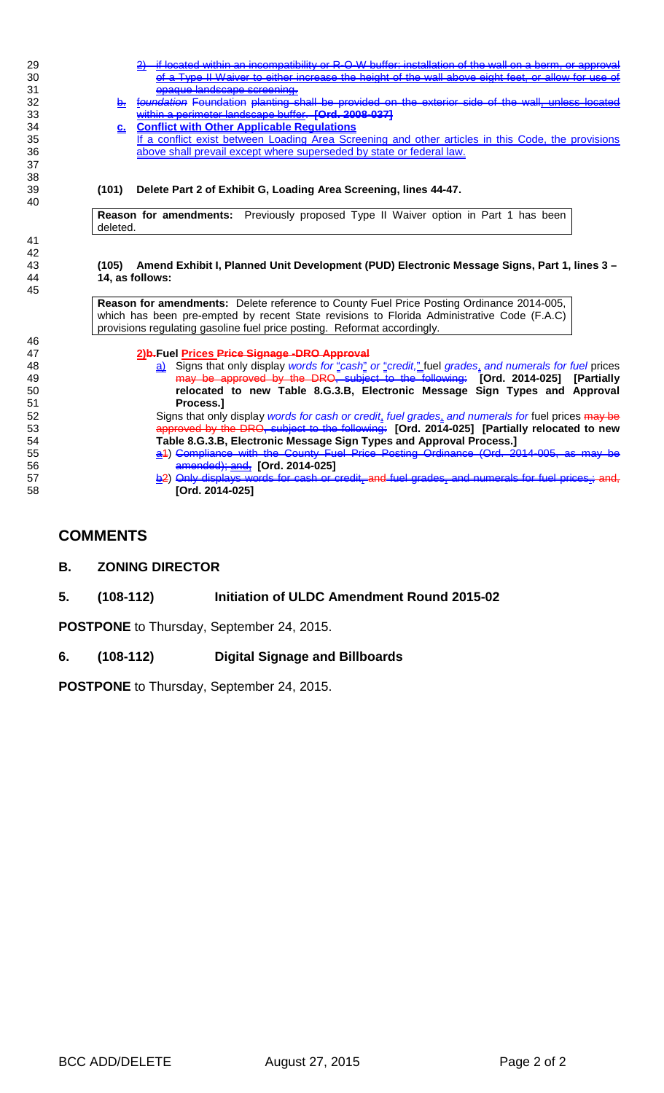- 29 2) <u>if located within an incompatibility or R-O-W buffer: installation of the wall on a berm</u><br>30 of a Type II Waiver to either increase the height of the wall above eight feet, or all of a Type II Waiver to either increase the height of the wall above eight feet, or allow for
- 31 opaque landscape screening.<br>32 outby toundation Foundation planting s **b.** foundation Foundation planting shall be provided on the exterior side of the wall, 33 **Within a perimeter landscape buffer. [Ord. 2008-037]**<br>34 **C.** Conflict with Other Applicable Requlations
- 34 **c. Conflict with Other Applicable Regulations** If a conflict exist between Loading Area Screening and other articles in this Code, the provisions 36 above shall prevail except where superseded by state or federal law.

#### 39 **(101) Delete Part 2 of Exhibit G, Loading Area Screening, lines 44-47.**

**Reason for amendments:** Previously proposed Type II Waiver option in Part 1 has been deleted.

#### 43 **(105) Amend Exhibit I, Planned Unit Development (PUD) Electronic Message Signs, Part 1, lines 3 –** 44 **14, as follows:**

**Reason for amendments:** Delete reference to County Fuel Price Posting Ordinance 2014-005, which has been pre-empted by recent State revisions to Florida Administrative Code (F.A.C) provisions regulating gasoline fuel price posting. Reformat accordingly.

# 47 **2)b.Fuel Prices Price Signage -DRO Approval**

 a) Signs that only display *words for* "*cash*" *or* "*credit,*" fuel *grades*, *and numerals for fuel* prices may be approved by the DRO, subject to the following: **[Ord. 2014-025] [Partially relocated to new Table 8.G.3.B, Electronic Message Sign Types and Approval Process.]**<br>52 **Signs that only** 

Signs that only display *words for cash or credit*, *fuel grades*, *and numerals for* fuel prices may be 53 approved by the DRO, subject to the following: **[Ord. 2014-025] [Partially relocated to new**  Table 8.G.3.B, Electronic Message Sign Types and Approval Process.]<br>(44) Compliance with the County Fuel Price Pesting Ordinance (Ord. 20

- 55 a1) Compliance with the County Fuel Price Posting Ordinance (Ord. 2014-005, as may be 56 amended); and, **[Ord. 2014-025]**
- 57 b2) Only displays words for cash or credit, and fuel grades, and numerals for fuel prices, and, 58 **[Ord. 2014-025]**

### **COMMENTS**

37 38

40

41 42

45

46<br>47

**B. ZONING DIRECTOR**

#### **5. (108-112) Initiation of ULDC Amendment Round 2015-02**

**POSTPONE** to Thursday, September 24, 2015.

#### **6. (108-112) Digital Signage and Billboards**

**POSTPONE** to Thursday, September 24, 2015.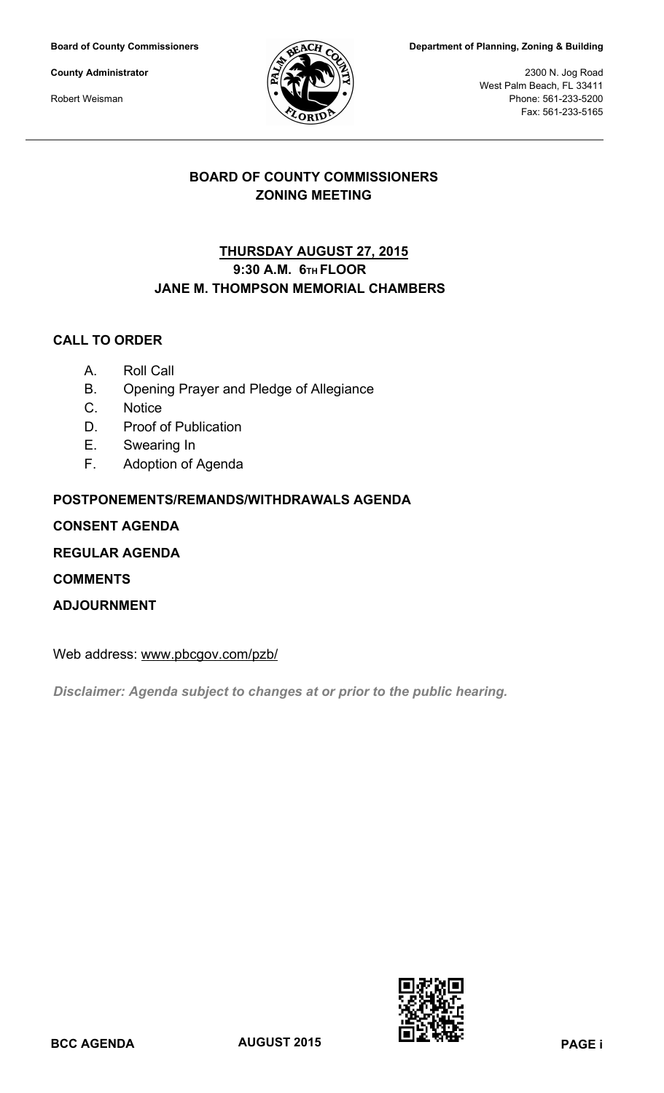**Board of County Commissioners**

**County Administrator**

Robert Weisman



**Department of Planning, Zoning & Building**

2300 N. Jog Road West Palm Beach, FL 33411 Phone: 561-233-5200 Fax: 561-233-5165

# **BOARD OF COUNTY COMMISSIONERS ZONING MEETING**

# **9:30 A.M. 6TH FLOOR JANE M. THOMPSON MEMORIAL CHAMBERS THURSDAY AUGUST 27, 2015**

# **CALL TO ORDER**

- A. Roll Call
- B. Opening Prayer and Pledge of Allegiance
- C. Notice
- D. Proof of Publication
- E. Swearing In
- F. Adoption of Agenda

# **POSTPONEMENTS/REMANDS/WITHDRAWALS AGENDA**

# **CONSENT AGENDA**

**REGULAR AGENDA**

**COMMENTS**

**ADJOURNMENT**

Web address: www.pbcgov.com/pzb/

*Disclaimer: Agenda subject to changes at or prior to the public hearing.*

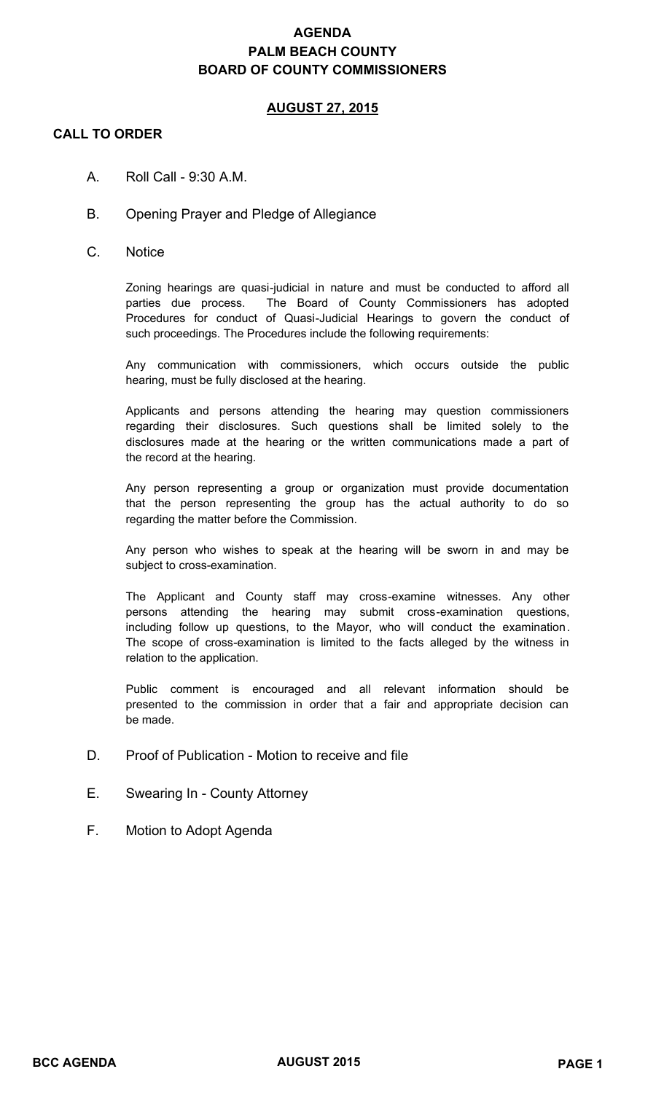# **AGENDA PALM BEACH COUNTY BOARD OF COUNTY COMMISSIONERS**

### **AUGUST 27, 2015**

### **CALL TO ORDER**

- A. Roll Call  $9:30$  A.M.
- B. Opening Prayer and Pledge of Allegiance
- C. Notice

Zoning hearings are quasi-judicial in nature and must be conducted to afford all parties due process. The Board of County Commissioners has adopted Procedures for conduct of Quasi-Judicial Hearings to govern the conduct of such proceedings. The Procedures include the following requirements:

Any communication with commissioners, which occurs outside the public hearing, must be fully disclosed at the hearing.

Applicants and persons attending the hearing may question commissioners regarding their disclosures. Such questions shall be limited solely to the disclosures made at the hearing or the written communications made a part of the record at the hearing.

Any person representing a group or organization must provide documentation that the person representing the group has the actual authority to do so regarding the matter before the Commission.

Any person who wishes to speak at the hearing will be sworn in and may be subject to cross-examination.

The Applicant and County staff may cross-examine witnesses. Any other persons attending the hearing may submit cross-examination questions, including follow up questions, to the Mayor, who will conduct the examination. The scope of cross-examination is limited to the facts alleged by the witness in relation to the application.

Public comment is encouraged and all relevant information should be presented to the commission in order that a fair and appropriate decision can be made.

- D. Proof of Publication Motion to receive and file
- E. Swearing In County Attorney
- F. Motion to Adopt Agenda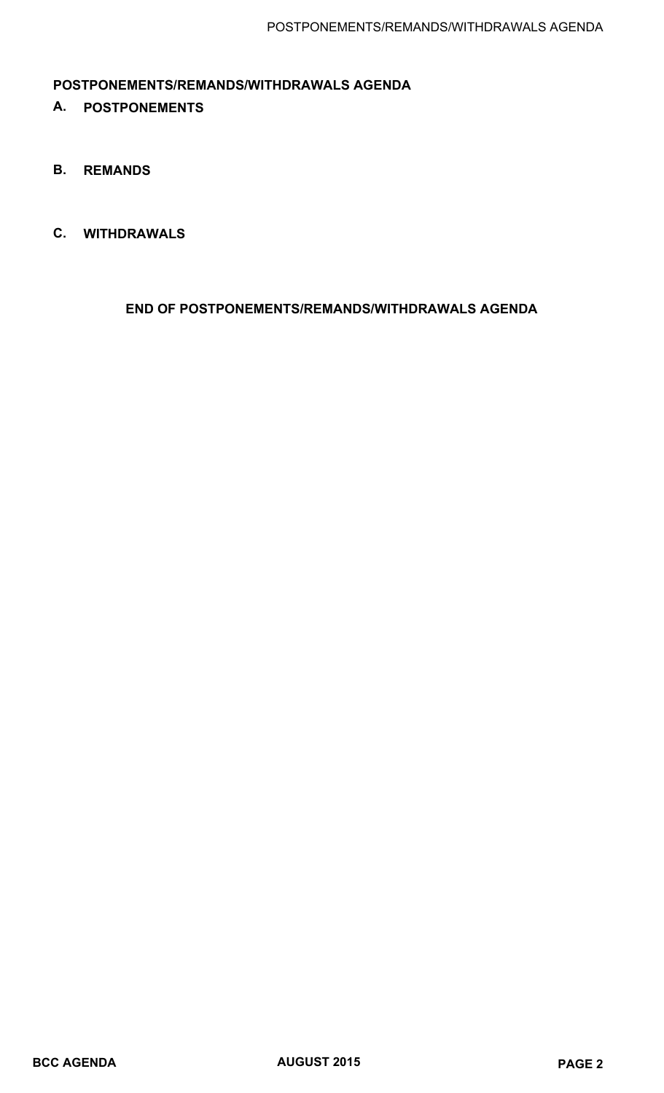# **POSTPONEMENTS/REMANDS/WITHDRAWALS AGENDA**

- **A. POSTPONEMENTS**
- **B. REMANDS**
- **C. WITHDRAWALS**

 **END OF POSTPONEMENTS/REMANDS/WITHDRAWALS AGENDA**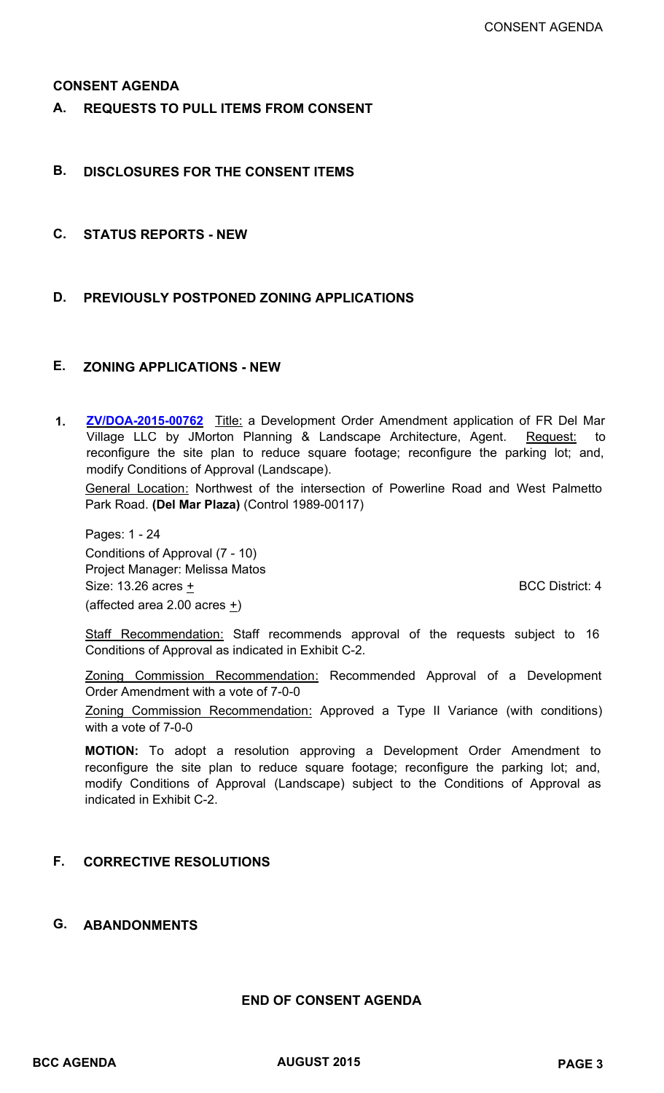#### **CONSENT AGENDA**

**A. REQUESTS TO PULL ITEMS FROM CONSENT**

### **B. DISCLOSURES FOR THE CONSENT ITEMS**

**C. STATUS REPORTS - NEW**

### **D. PREVIOUSLY POSTPONED ZONING APPLICATIONS**

#### **E. ZONING APPLICATIONS - NEW**

**[ZV/DOA-2015-00762](http://www.pbcgov.com/pzb/zoning/bcc/2015/august/1.pdf)** Title: a Development Order Amendment application of FR Del Mar Village LLC by JMorton Planning & Landscape Architecture, Agent. Request: to reconfigure the site plan to reduce square footage; reconfigure the parking lot; and, modify Conditions of Approval (Landscape). **1.**

General Location: Northwest of the intersection of Powerline Road and West Palmetto Park Road. **(Del Mar Plaza)** (Control 1989-00117)

Pages: 1 - 24 Conditions of Approval (7 - 10) Project Manager: Melissa Matos Size:  $13.26$  acres  $\pm$  BCC District: 4 (affected area 2.00 acres  $\pm$ )

Staff Recommendation: Staff recommends approval of the requests subject to 16 Conditions of Approval as indicated in Exhibit C-2.

Zoning Commission Recommendation: Recommended Approval of a Development Order Amendment with a vote of 7-0-0

Zoning Commission Recommendation: Approved a Type II Variance (with conditions) with a vote of 7-0-0

**MOTION:** To adopt a resolution approving a Development Order Amendment to reconfigure the site plan to reduce square footage; reconfigure the parking lot; and, modify Conditions of Approval (Landscape) subject to the Conditions of Approval as indicated in Exhibit C-2.

### **F. CORRECTIVE RESOLUTIONS**

#### **G. ABANDONMENTS**

#### **END OF CONSENT AGENDA**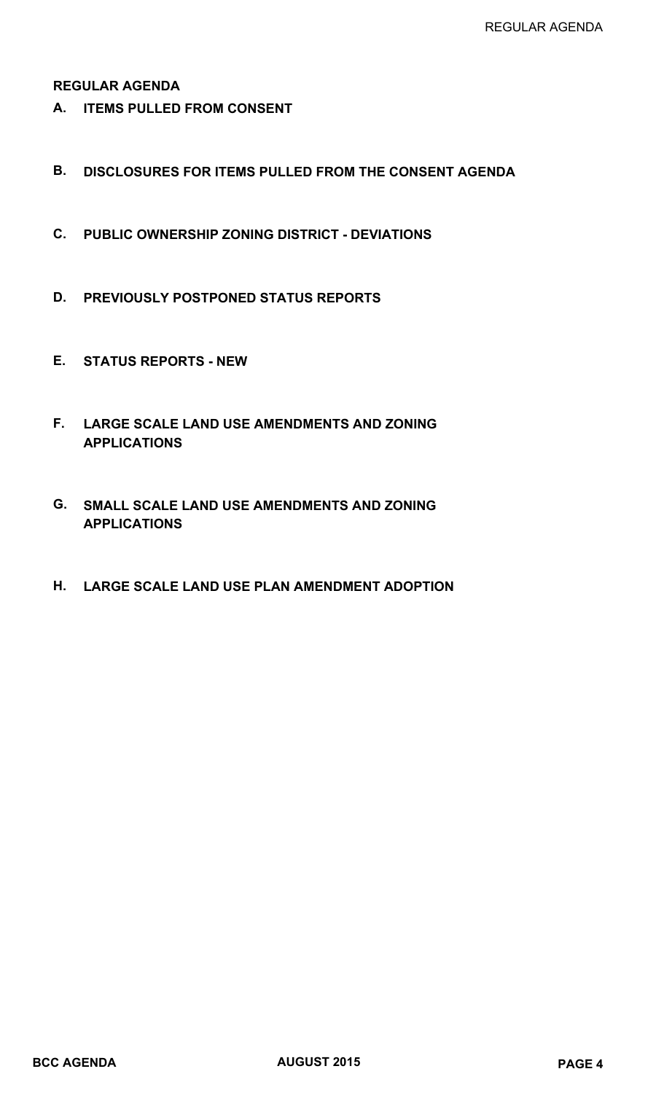### **REGULAR AGENDA**

- **A. ITEMS PULLED FROM CONSENT**
- **B. DISCLOSURES FOR ITEMS PULLED FROM THE CONSENT AGENDA**
- **C. PUBLIC OWNERSHIP ZONING DISTRICT DEVIATIONS**
- **D. PREVIOUSLY POSTPONED STATUS REPORTS**
- **E. STATUS REPORTS NEW**
- **LARGE SCALE LAND USE AMENDMENTS AND ZONING F. APPLICATIONS**
- **SMALL SCALE LAND USE AMENDMENTS AND ZONING G. APPLICATIONS**
- **H. LARGE SCALE LAND USE PLAN AMENDMENT ADOPTION**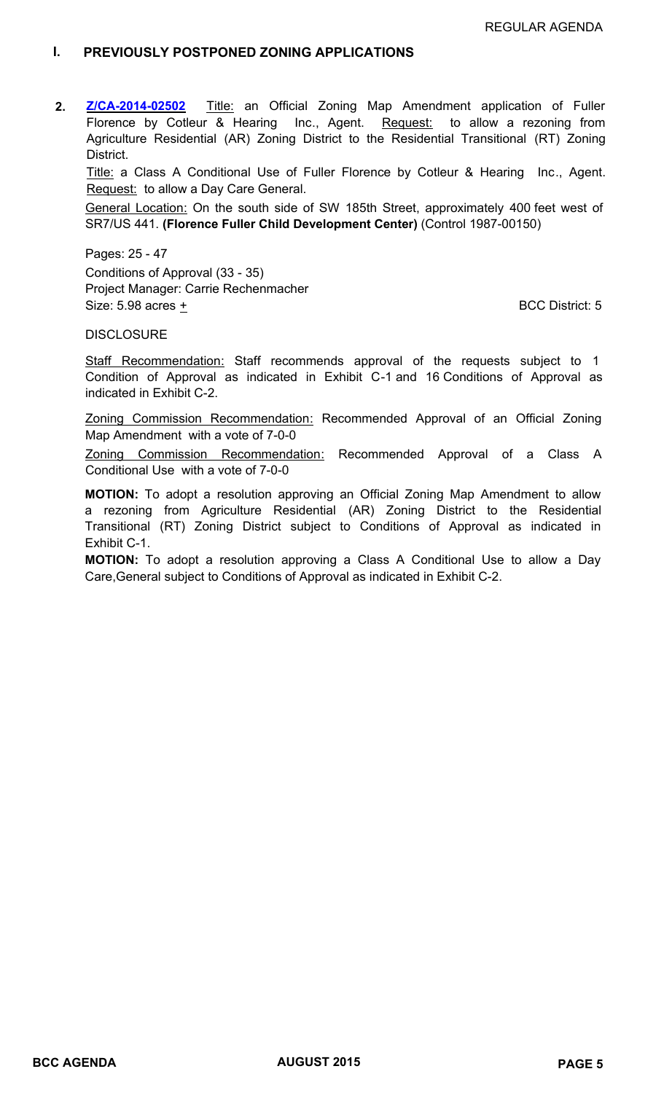#### **I. PREVIOUSLY POSTPONED ZONING APPLICATIONS**

**[Z/CA-2014-02502](http://www.pbcgov.com/pzb/zoning/bcc/2015/august/2.pdf)** Title: an Official Zoning Map Amendment application of Fuller Florence by Cotleur & Hearing Inc., Agent. Request: to allow a rezoning from Agriculture Residential (AR) Zoning District to the Residential Transitional (RT) Zoning District. **2.**

Title: a Class A Conditional Use of Fuller Florence by Cotleur & Hearing Inc., Agent. Request: to allow a Day Care General.

General Location: On the south side of SW 185th Street, approximately 400 feet west of SR7/US 441. **(Florence Fuller Child Development Center)** (Control 1987-00150)

Pages: 25 - 47 Conditions of Approval (33 - 35) Project Manager: Carrie Rechenmacher Size:  $5.98$  acres  $\pm$  BCC District: 5

#### **DISCLOSURE**

Staff Recommendation: Staff recommends approval of the requests subject to 1 Condition of Approval as indicated in Exhibit C-1 and 16 Conditions of Approval as indicated in Exhibit C-2.

Zoning Commission Recommendation: Recommended Approval of an Official Zoning Map Amendment with a vote of 7-0-0

Zoning Commission Recommendation: Recommended Approval of a Class A Conditional Use with a vote of 7-0-0

**MOTION:** To adopt a resolution approving an Official Zoning Map Amendment to allow a rezoning from Agriculture Residential (AR) Zoning District to the Residential Transitional (RT) Zoning District subject to Conditions of Approval as indicated in Exhibit C-1.

**MOTION:** To adopt a resolution approving a Class A Conditional Use to allow a Day Care,General subject to Conditions of Approval as indicated in Exhibit C-2.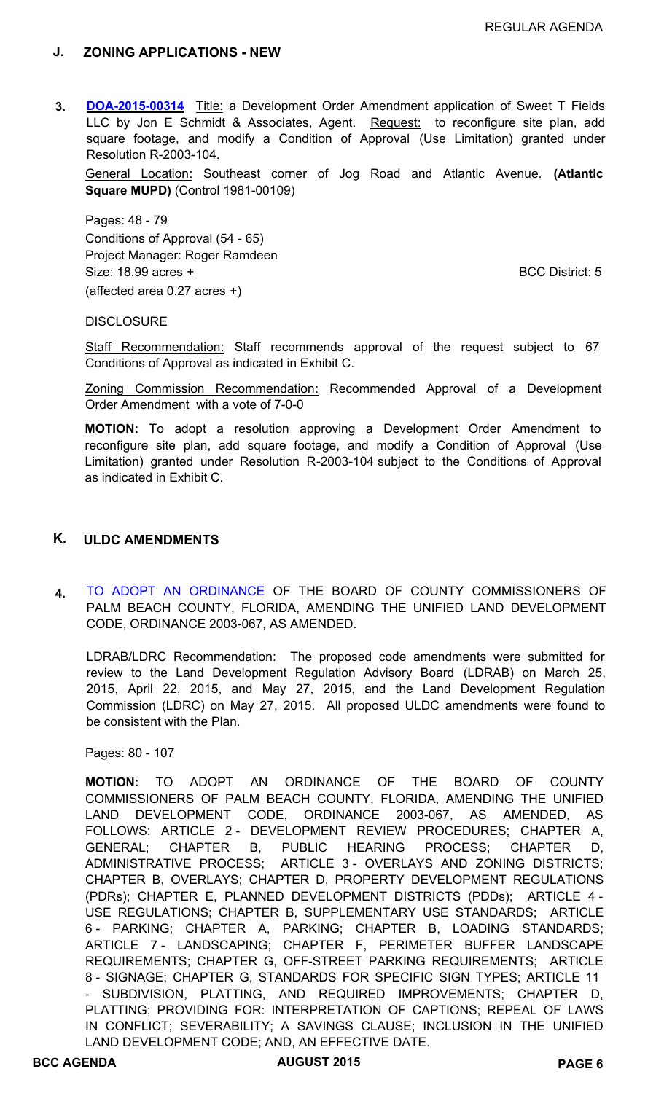#### **J. ZONING APPLICATIONS - NEW**

**[DOA-2015-00314](http://www.pbcgov.com/pzb/zoning/bcc/2015/august/3.pdf)** Title: a Development Order Amendment application of Sweet T Fields LLC by Jon E Schmidt & Associates, Agent. Request: to reconfigure site plan, add square footage, and modify a Condition of Approval (Use Limitation) granted under Resolution R-2003-104. **3.**

General Location: Southeast corner of Jog Road and Atlantic Avenue. **(Atlantic Square MUPD)** (Control 1981-00109)

Pages: 48 - 79 Conditions of Approval (54 - 65) Project Manager: Roger Ramdeen Size:  $18.99$  acres  $\pm$  BCC District: 5 (affected area 0.27 acres  $+$ )

**DISCLOSURE** 

Staff Recommendation: Staff recommends approval of the request subject to 67 Conditions of Approval as indicated in Exhibit C.

Zoning Commission Recommendation: Recommended Approval of a Development Order Amendment with a vote of 7-0-0

**MOTION:** To adopt a resolution approving a Development Order Amendment to reconfigure site plan, add square footage, and modify a Condition of Approval (Use Limitation) granted under Resolution R-2003-104 subject to the Conditions of Approval as indicated in Exhibit C.

#### **K. ULDC AMENDMENTS**

**4.** [TO ADOPT AN ORDINANCE](http://www.pbcgov.com/pzb/zoning/bcc/2015/august/4.pdf) OF THE BOARD OF COUNTY COMMISSIONERS OF PALM BEACH COUNTY, FLORIDA, AMENDING THE UNIFIED LAND DEVELOPMENT CODE, ORDINANCE 2003-067, AS AMENDED.

LDRAB/LDRC Recommendation: The proposed code amendments were submitted for review to the Land Development Regulation Advisory Board (LDRAB) on March 25, 2015, April 22, 2015, and May 27, 2015, and the Land Development Regulation Commission (LDRC) on May 27, 2015. All proposed ULDC amendments were found to be consistent with the Plan.

Pages: 80 - 107

**MOTION:** TO ADOPT AN ORDINANCE OF THE BOARD OF COUNTY COMMISSIONERS OF PALM BEACH COUNTY, FLORIDA, AMENDING THE UNIFIED LAND DEVELOPMENT CODE, ORDINANCE 2003-067, AS AMENDED, AS FOLLOWS: ARTICLE 2 - DEVELOPMENT REVIEW PROCEDURES; CHAPTER A, GENERAL; CHAPTER B, PUBLIC HEARING PROCESS; CHAPTER D, ADMINISTRATIVE PROCESS; ARTICLE 3 - OVERLAYS AND ZONING DISTRICTS; CHAPTER B, OVERLAYS; CHAPTER D, PROPERTY DEVELOPMENT REGULATIONS (PDRs); CHAPTER E, PLANNED DEVELOPMENT DISTRICTS (PDDs); ARTICLE 4 - USE REGULATIONS; CHAPTER B, SUPPLEMENTARY USE STANDARDS; ARTICLE 6 - PARKING; CHAPTER A, PARKING; CHAPTER B, LOADING STANDARDS; ARTICLE 7 - LANDSCAPING; CHAPTER F, PERIMETER BUFFER LANDSCAPE REQUIREMENTS; CHAPTER G, OFF-STREET PARKING REQUIREMENTS; ARTICLE 8 - SIGNAGE; CHAPTER G, STANDARDS FOR SPECIFIC SIGN TYPES; ARTICLE 11 - SUBDIVISION, PLATTING, AND REQUIRED IMPROVEMENTS; CHAPTER D, PLATTING; PROVIDING FOR: INTERPRETATION OF CAPTIONS; REPEAL OF LAWS IN CONFLICT; SEVERABILITY; A SAVINGS CLAUSE; INCLUSION IN THE UNIFIED LAND DEVELOPMENT CODE; AND, AN EFFECTIVE DATE.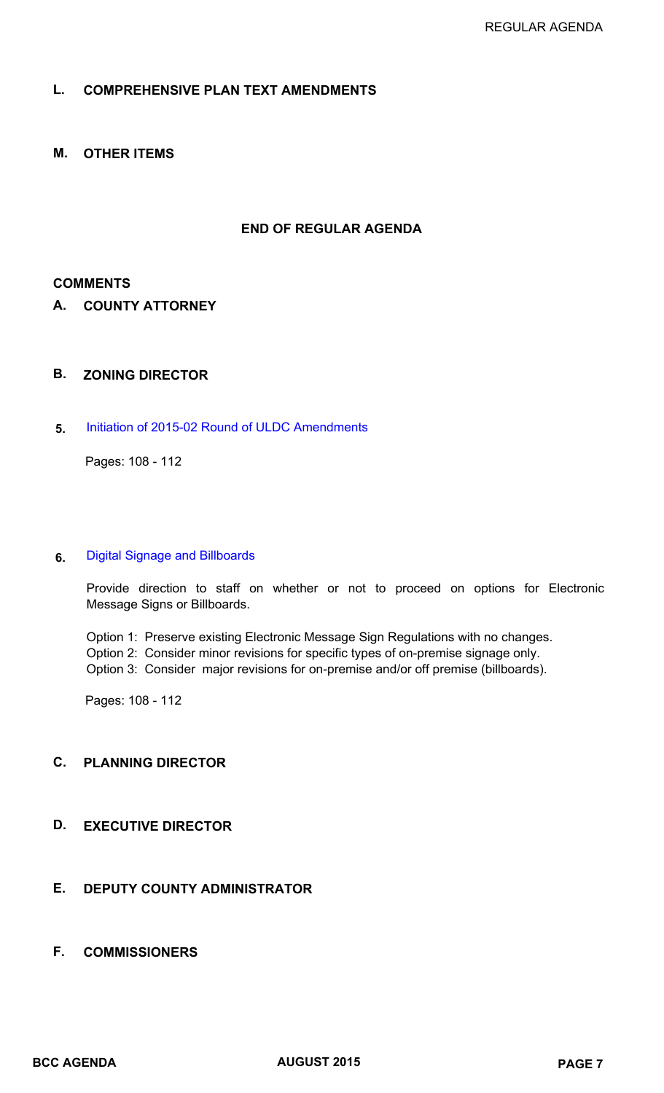### **L. COMPREHENSIVE PLAN TEXT AMENDMENTS**

**M. OTHER ITEMS**

#### **END OF REGULAR AGENDA**

#### **COMMENTS**

**A. COUNTY ATTORNEY**

#### **B. ZONING DIRECTOR**

**5.** [Initiation of 2015-02 Round of ULDC Amendments](http://www.pbcgov.com/pzb/zoning/bcc/2015/august/5.pdf)

Pages: 108 - 112

#### **6.** [Digital Signage and Billboards](http://www.pbcgov.com/pzb/zoning/bcc/2015/august/5.pdf)

Provide direction to staff on whether or not to proceed on options for Electronic Message Signs or Billboards.

Option 1: Preserve existing Electronic Message Sign Regulations with no changes. Option 2: Consider minor revisions for specific types of on-premise signage only. Option 3: Consider major revisions for on-premise and/or off premise (billboards).

Pages: 108 - 112

### **C. PLANNING DIRECTOR**

# **D. EXECUTIVE DIRECTOR**

# **E. DEPUTY COUNTY ADMINISTRATOR**

**F. COMMISSIONERS**